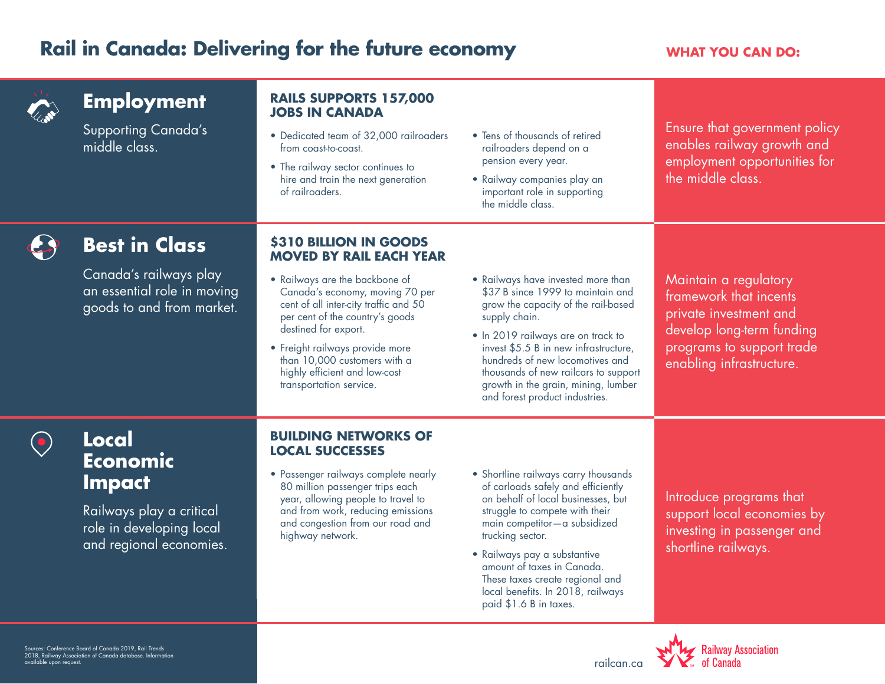## **Rail in Canada: Delivering for the future economy WHAT YOU CAN DO:**



Sources: Conference Board of Canada 2019, Rail Trends 2018, Railway Association of Canada database. Information available upon request. The controller controller controller controller controller controller controller controller controller controller controller controller controller controller controller controller controller control

local benefits. In 2018, railways

paid \$1.6 B in taxes.